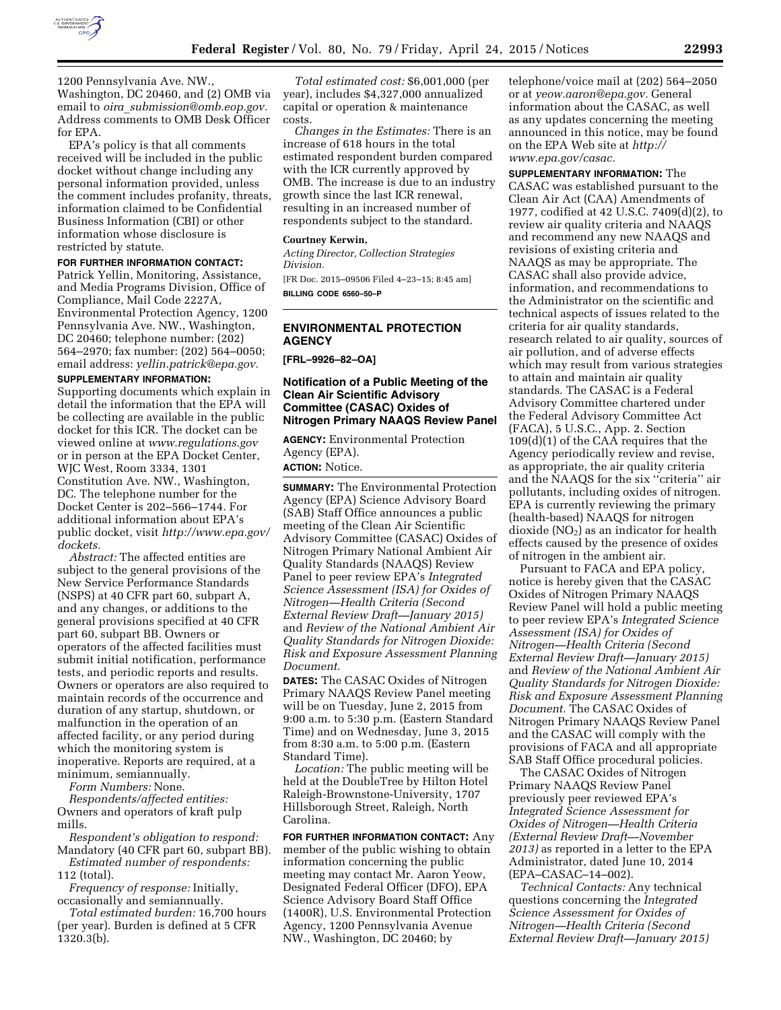

1200 Pennsylvania Ave. NW., Washington, DC 20460, and (2) OMB via email to *oira*\_*[submission@omb.eop.gov.](mailto:oira_submission@omb.eop.gov)*  Address comments to OMB Desk Officer for EPA.

EPA's policy is that all comments received will be included in the public docket without change including any personal information provided, unless the comment includes profanity, threats, information claimed to be Confidential Business Information (CBI) or other information whose disclosure is restricted by statute.

#### **FOR FURTHER INFORMATION CONTACT:**

Patrick Yellin, Monitoring, Assistance, and Media Programs Division, Office of Compliance, Mail Code 2227A, Environmental Protection Agency, 1200 Pennsylvania Ave. NW., Washington, DC 20460; telephone number: (202) 564–2970; fax number: (202) 564–0050; email address: *[yellin.patrick@epa.gov.](mailto:yellin.patrick@epa.gov)* 

#### **SUPPLEMENTARY INFORMATION:**

Supporting documents which explain in detail the information that the EPA will be collecting are available in the public docket for this ICR. The docket can be viewed online at *[www.regulations.gov](http://www.regulations.gov)*  or in person at the EPA Docket Center, WJC West, Room 3334, 1301 Constitution Ave. NW., Washington, DC. The telephone number for the Docket Center is 202–566–1744. For additional information about EPA's public docket, visit *[http://www.epa.gov/](http://www.epa.gov/dockets)  [dockets.](http://www.epa.gov/dockets)* 

*Abstract:* The affected entities are subject to the general provisions of the New Service Performance Standards (NSPS) at 40 CFR part 60, subpart A, and any changes, or additions to the general provisions specified at 40 CFR part 60, subpart BB. Owners or operators of the affected facilities must submit initial notification, performance tests, and periodic reports and results. Owners or operators are also required to maintain records of the occurrence and duration of any startup, shutdown, or malfunction in the operation of an affected facility, or any period during which the monitoring system is inoperative. Reports are required, at a minimum, semiannually.

*Form Numbers:* None.

*Respondents/affected entities:*  Owners and operators of kraft pulp mills.

*Respondent's obligation to respond:*  Mandatory (40 CFR part 60, subpart BB). *Estimated number of respondents:* 

112 (total). *Frequency of response:* Initially,

occasionally and semiannually.

*Total estimated burden:* 16,700 hours (per year). Burden is defined at 5 CFR 1320.3(b).

*Total estimated cost:* \$6,001,000 (per year), includes \$4,327,000 annualized capital or operation & maintenance costs.

*Changes in the Estimates:* There is an increase of 618 hours in the total estimated respondent burden compared with the ICR currently approved by OMB. The increase is due to an industry growth since the last ICR renewal, resulting in an increased number of respondents subject to the standard.

#### **Courtney Kerwin,**

*Acting Director, Collection Strategies Division.* 

[FR Doc. 2015–09506 Filed 4–23–15; 8:45 am] **BILLING CODE 6560–50–P** 

# **ENVIRONMENTAL PROTECTION AGENCY**

**[FRL–9926–82–OA]** 

### **Notification of a Public Meeting of the Clean Air Scientific Advisory Committee (CASAC) Oxides of Nitrogen Primary NAAQS Review Panel**

**AGENCY:** Environmental Protection Agency (EPA).

**ACTION:** Notice.

**SUMMARY:** The Environmental Protection Agency (EPA) Science Advisory Board (SAB) Staff Office announces a public meeting of the Clean Air Scientific Advisory Committee (CASAC) Oxides of Nitrogen Primary National Ambient Air Quality Standards (NAAQS) Review Panel to peer review EPA's *Integrated Science Assessment (ISA) for Oxides of Nitrogen—Health Criteria (Second External Review Draft—January 2015)*  and *Review of the National Ambient Air Quality Standards for Nitrogen Dioxide: Risk and Exposure Assessment Planning Document.* 

**DATES:** The CASAC Oxides of Nitrogen Primary NAAQS Review Panel meeting will be on Tuesday, June 2, 2015 from 9:00 a.m. to 5:30 p.m. (Eastern Standard Time) and on Wednesday, June 3, 2015 from 8:30 a.m. to 5:00 p.m. (Eastern Standard Time).

*Location:* The public meeting will be held at the DoubleTree by Hilton Hotel Raleigh-Brownstone-University, 1707 Hillsborough Street, Raleigh, North Carolina.

**FOR FURTHER INFORMATION CONTACT:** Any member of the public wishing to obtain information concerning the public meeting may contact Mr. Aaron Yeow, Designated Federal Officer (DFO), EPA Science Advisory Board Staff Office (1400R), U.S. Environmental Protection Agency, 1200 Pennsylvania Avenue NW., Washington, DC 20460; by

telephone/voice mail at (202) 564–2050 or at *[yeow.aaron@epa.gov.](mailto:yeow.aaron@epa.gov)* General information about the CASAC, as well as any updates concerning the meeting announced in this notice, may be found on the EPA Web site at *[http://](http://www.epa.gov/casac) [www.epa.gov/casac.](http://www.epa.gov/casac)* 

**SUPPLEMENTARY INFORMATION:** The CASAC was established pursuant to the Clean Air Act (CAA) Amendments of 1977, codified at 42 U.S.C. 7409(d)(2), to review air quality criteria and NAAQS and recommend any new NAAQS and revisions of existing criteria and NAAQS as may be appropriate. The CASAC shall also provide advice, information, and recommendations to the Administrator on the scientific and technical aspects of issues related to the criteria for air quality standards, research related to air quality, sources of air pollution, and of adverse effects which may result from various strategies to attain and maintain air quality standards. The CASAC is a Federal Advisory Committee chartered under the Federal Advisory Committee Act (FACA), 5 U.S.C., App. 2. Section 109(d)(1) of the CAA requires that the Agency periodically review and revise, as appropriate, the air quality criteria and the NAAQS for the six ''criteria'' air pollutants, including oxides of nitrogen. EPA is currently reviewing the primary (health-based) NAAQS for nitrogen dioxide  $(NO<sub>2</sub>)$  as an indicator for health effects caused by the presence of oxides of nitrogen in the ambient air.

Pursuant to FACA and EPA policy, notice is hereby given that the CASAC Oxides of Nitrogen Primary NAAQS Review Panel will hold a public meeting to peer review EPA's *Integrated Science Assessment (ISA) for Oxides of Nitrogen—Health Criteria (Second External Review Draft—January 2015)*  and *Review of the National Ambient Air Quality Standards for Nitrogen Dioxide: Risk and Exposure Assessment Planning Document.* The CASAC Oxides of Nitrogen Primary NAAQS Review Panel and the CASAC will comply with the provisions of FACA and all appropriate SAB Staff Office procedural policies.

The CASAC Oxides of Nitrogen Primary NAAQS Review Panel previously peer reviewed EPA's *Integrated Science Assessment for Oxides of Nitrogen—Health Criteria (External Review Draft—November 2013)* as reported in a letter to the EPA Administrator, dated June 10, 2014 (EPA–CASAC–14–002).

*Technical Contacts:* Any technical questions concerning the *Integrated Science Assessment for Oxides of Nitrogen—Health Criteria (Second External Review Draft—January 2015)*